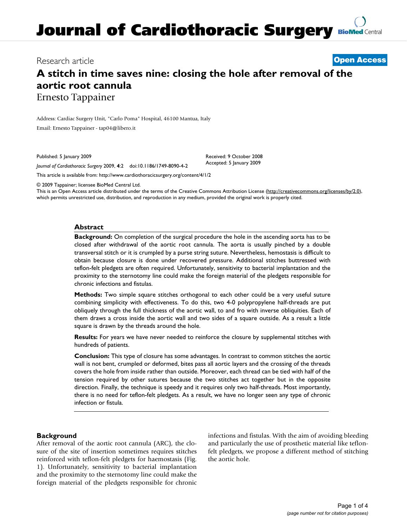# **Journal of Cardiothoracic Surgery [BioMed](http://www.biomedcentral.com/) Central**

Research article **[Open Access](http://www.biomedcentral.com/info/about/charter/)**

## **A stitch in time saves nine: closing the hole after removal of the aortic root cannula** Ernesto Tappainer

Address: Cardiac Surgery Unit, "Carlo Poma" Hospital, 46100 Mantua, Italy Email: Ernesto Tappainer - tap04@libero.it

Published: 5 January 2009

*Journal of Cardiothoracic Surgery* 2009, **4**:2 doi:10.1186/1749-8090-4-2

[This article is available from: http://www.cardiothoracicsurgery.org/content/4/1/2](http://www.cardiothoracicsurgery.org/content/4/1/2)

© 2009 Tappainer; licensee BioMed Central Ltd.

This is an Open Access article distributed under the terms of the Creative Commons Attribution License [\(http://creativecommons.org/licenses/by/2.0\)](http://creativecommons.org/licenses/by/2.0), which permits unrestricted use, distribution, and reproduction in any medium, provided the original work is properly cited.

Received: 9 October 2008 Accepted: 5 January 2009

#### **Abstract**

**Background:** On completion of the surgical procedure the hole in the ascending aorta has to be closed after withdrawal of the aortic root cannula. The aorta is usually pinched by a double transversal stitch or it is crumpled by a purse string suture. Nevertheless, hemostasis is difficult to obtain because closure is done under recovered pressure. Additional stitches buttressed with teflon-felt pledgets are often required. Unfortunately, sensitivity to bacterial implantation and the proximity to the sternotomy line could make the foreign material of the pledgets responsible for chronic infections and fistulas.

**Methods:** Two simple square stitches orthogonal to each other could be a very useful suture combining simplicity with effectiveness. To do this, two 4-0 polypropylene half-threads are put obliquely through the full thickness of the aortic wall, to and fro with inverse obliquities. Each of them draws a cross inside the aortic wall and two sides of a square outside. As a result a little square is drawn by the threads around the hole.

**Results:** For years we have never needed to reinforce the closure by supplemental stitches with hundreds of patients.

**Conclusion:** This type of closure has some advantages. In contrast to common stitches the aortic wall is not bent, crumpled or deformed, bites pass all aortic layers and the crossing of the threads covers the hole from inside rather than outside. Moreover, each thread can be tied with half of the tension required by other sutures because the two stitches act together but in the opposite direction. Finally, the technique is speedy and it requires only two half-threads. Most importantly, there is no need for teflon-felt pledgets. As a result, we have no longer seen any type of chronic infection or fistula.

#### **Background**

After removal of the aortic root cannula (ARC), the closure of the site of insertion sometimes requires stitches reinforced with teflon-felt pledgets for haemostasis (Fig. 1). Unfortunately, sensitivity to bacterial implantation and the proximity to the sternotomy line could make the foreign material of the pledgets responsible for chronic infections and fistulas. With the aim of avoiding bleeding and particularly the use of prosthetic material like teflonfelt pledgets, we propose a different method of stitching the aortic hole.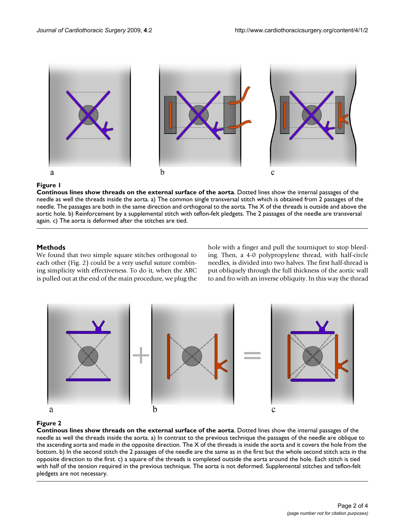

#### Figure 1

**Continous lines show threads on the external surface of the aorta**. Dotted lines show the internal passages of the needle as well the threads inside the aorta. a) The common single transversal stitch which is obtained from 2 passages of the needle. The passages are both in the same direction and orthogonal to the aorta. The X of the threads is outside and above the aortic hole. b) Reinforcement by a supplemental stitch with teflon-felt pledgets. The 2 passages of the needle are transversal again. c) The aorta is deformed after the stitches are tied.

### **Methods**

We found that two simple square stitches orthogonal to each other (Fig. 2) could be a very useful suture combining simplicity with effectiveness. To do it, when the ARC is pulled out at the end of the main procedure, we plug the hole with a finger and pull the tourniquet to stop bleeding. Then, a 4-0 polypropylene thread, with half-circle needles, is divided into two halves. The first half-thread is put obliquely through the full thickness of the aortic wall to and fro with an inverse obliquity. In this way the thread



### Figure 2

**Continous lines show threads on the external surface of the aorta**. Dotted lines show the internal passages of the needle as well the threads inside the aorta. a) In contrast to the previous technique the passages of the needle are oblique to the ascending aorta and made in the opposite direction. The  $X$  of the threads is inside the aorta and it covers the hole from the bottom. b) In the second stitch the 2 passages of the needle are the same as in the first but the whole second stitch acts in the opposite direction to the first. c) a square of the threads is completed outside the aorta around the hole. Each stitch is tied with half of the tension required in the previous technique. The aorta is not deformed. Supplemental stitches and teflon-felt pledgets are not necessary.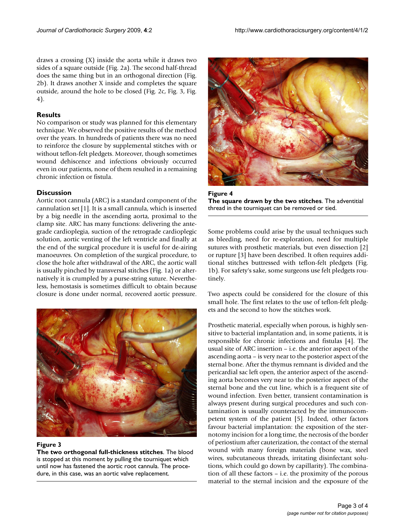draws a crossing (X) inside the aorta while it draws two sides of a square outside (Fig. 2a). The second half-thread does the same thing but in an orthogonal direction (Fig. 2b). It draws another X inside and completes the square outside, around the hole to be closed (Fig. 2c, Fig. 3, Fig. 4).

#### **Results**

No comparison or study was planned for this elementary technique. We observed the positive results of the method over the years. In hundreds of patients there was no need to reinforce the closure by supplemental stitches with or without teflon-felt pledgets. Moreover, though sometimes wound dehiscence and infections obviously occurred even in our patients, none of them resulted in a remaining chronic infection or fistula.

#### **Discussion**

Aortic root cannula (ARC) is a standard component of the cannulation set [1]. It is a small cannula, which is inserted by a big needle in the ascending aorta, proximal to the clamp site. ARC has many functions: delivering the antegrade cardioplegia, suction of the retrograde cardioplegic solution, aortic venting of the left ventricle and finally at the end of the surgical procedure it is useful for de-airing manoeuvres. On completion of the surgical procedure, to close the hole after withdrawal of the ARC, the aortic wall is usually pinched by transversal stitches (Fig. 1a) or alternatively it is crumpled by a purse-string suture. Nevertheless, hemostasis is sometimes difficult to obtain because closure is done under normal, recovered aortic pressure.



#### Figure 3

**The two orthogonal full-thickness stitches**. The blood is stopped at this moment by pulling the tourniquet which until now has fastened the aortic root cannula. The procedure, in this case, was an aortic valve replacement.



**Figure 4 The square drawn by the two stitches**. The adventitial thread in the tourniquet can be removed or tied.

Some problems could arise by the usual techniques such as bleeding, need for re-exploration, need for multiple sutures with prosthetic materials, but even dissection [2] or rupture [3] have been described. It often requires additional stitches buttressed with teflon-felt pledgets (Fig. 1b). For safety's sake, some surgeons use felt pledgets routinely.

Two aspects could be considered for the closure of this small hole. The first relates to the use of teflon-felt pledgets and the second to how the stitches work.

Prosthetic material, especially when porous, is highly sensitive to bacterial implantation and, in some patients, it is responsible for chronic infections and fistulas [4]. The usual site of ARC insertion – i.e. the anterior aspect of the ascending aorta – is very near to the posterior aspect of the sternal bone. After the thymus remnant is divided and the pericardial sac left open, the anterior aspect of the ascending aorta becomes very near to the posterior aspect of the sternal bone and the cut line, which is a frequent site of wound infection. Even better, transient contamination is always present during surgical procedures and such contamination is usually counteracted by the immunocompetent system of the patient [5]. Indeed, other factors favour bacterial implantation: the exposition of the sternotomy incision for a long time, the necrosis of the border of periostium after cauterization, the contact of the sternal wound with many foreign materials (bone wax, steel wires, subcutaneous threads, irritating disinfectant solutions, which could go down by capillarity). The combination of all these factors – i.e. the proximity of the porous material to the sternal incision and the exposure of the